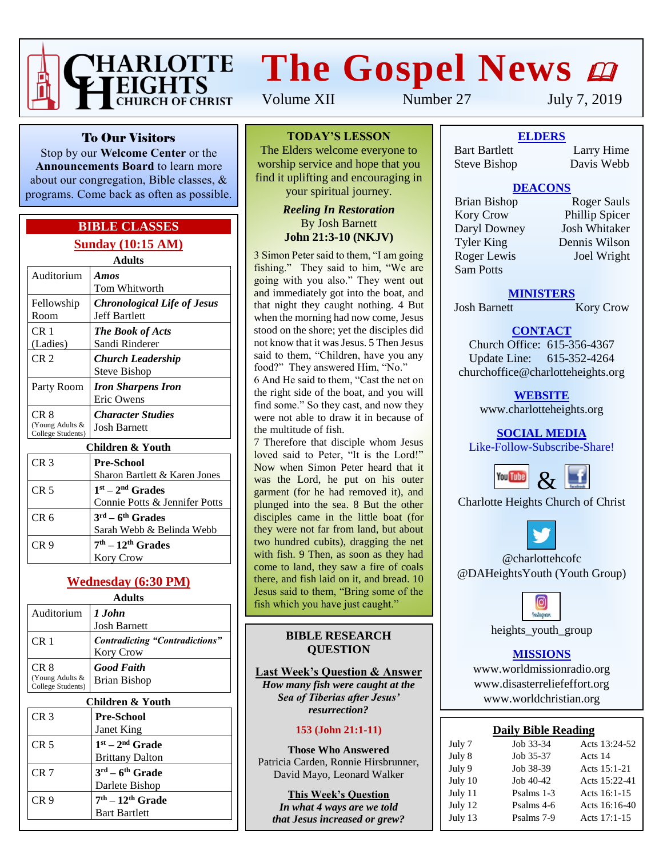

# **The Gospel News**

Volume XII Number 27 July 7, 2019

To Our Visitors

Stop by our **Welcome Center** or the **Announcements Board** to learn more about our congregation, Bible classes, & programs. Come back as often as possible.

#### **BIBLE CLASSES Sunday (10:15 AM)**

**Adults**

| Auditorium                                   | Amos<br>Tom Whitworth                                               |  |
|----------------------------------------------|---------------------------------------------------------------------|--|
| Fellowship<br>Room                           | <b>Chronological Life of Jesus</b><br><b>Jeff Bartlett</b>          |  |
| CR 1<br>(Ladies)                             | <b>The Book of Acts</b><br>Sandi Rinderer                           |  |
| CR <sub>2</sub>                              | Church Leadership<br>Steve Bishop                                   |  |
| Party Room                                   | <b>Iron Sharpens Iron</b><br>Eric Owens                             |  |
| CR 8<br>(Young Adults &<br>College Students) | <b>Character Studies</b><br><b>Josh Barnett</b>                     |  |
| Children & Youth                             |                                                                     |  |
| CR <sub>3</sub>                              | <b>Pre-School</b><br>Sharon Bartlett & Karen Jones                  |  |
| CR <sub>5</sub>                              | $1st - 2nd$ Grades<br>Connie Potts & Jennifer Potts                 |  |
| CR <sub>6</sub>                              | $3^{\text{rd}} - 6^{\text{th}}$ Grades<br>Sarah Webb & Belinda Webb |  |
| CR <sub>9</sub>                              | $7th - 12th$ Grades                                                 |  |

#### **Wednesday (6:30 PM)**

Kory Crow

**Adults**

| Auditorium                                   | 1 John<br><b>Josh Barnett</b>                      |
|----------------------------------------------|----------------------------------------------------|
| CR <sub>1</sub>                              | <b>Contradicting "Contradictions"</b><br>Kory Crow |
| CR 8<br>(Young Adults &<br>College Students) | <b>Good Faith</b><br><b>Brian Bishop</b>           |
| Children & Youth                             |                                                    |

#### CR 3 **Pre-School** Janet King CR 5 **1 st – 2 nd Grade** Brittany Dalton CR 7 **3 rd – 6 th Grade** Darlete Bishop CR 9 **7 th – 12th Grade** Bart Bartlett

**TODAY'S LESSON**

The Elders welcome everyone to worship service and hope that you find it uplifting and encouraging in your spiritual journey.

#### *Reeling In Restoration* By Josh Barnett **John 21:3-10 (NKJV)**

3 Simon Peter said to them, "I am going fishing." They said to him, "We are going with you also." They went out and immediately got into the boat, and that night they caught nothing. 4 But when the morning had now come, Jesus stood on the shore; yet the disciples did not know that it was Jesus. 5 Then Jesus said to them, "Children, have you any food?" They answered Him, "No."

6 And He said to them, "Cast the net on the right side of the boat, and you will find some." So they cast, and now they were not able to draw it in because of the multitude of fish.

7 Therefore that disciple whom Jesus loved said to Peter, "It is the Lord!" Now when Simon Peter heard that it was the Lord, he put on his outer garment (for he had removed it), and plunged into the sea. 8 But the other disciples came in the little boat (for they were not far from land, but about two hundred cubits), dragging the net with fish. 9 Then, as soon as they had come to land, they saw a fire of coals there, and fish laid on it, and bread. 10 Jesus said to them, "Bring some of the fish which you have just caught."

#### **BIBLE RESEARCH QUESTION**

**Last Week's Question & Answer** *How many fish were caught at the Sea of Tiberias after Jesus' resurrection?*

#### **153 (John 21:1-11)**

**Those Who Answered** Patricia Carden, Ronnie Hirsbrunner, David Mayo, Leonard Walker

**This Week's Question** *In what 4 ways are we told that Jesus increased or grew?*

**ELDERS** Bart Bartlett Larry Hime

Steve Bishop Davis Webb

#### **DEACONS**

Kory Crow Phillip Spicer<br>
Daryl Downey Josh Whitaker Daryl Downey Tyler King Dennis Wilson Roger Lewis Joel Wright Sam Potts

Brian Bishop Roger Sauls

#### **MINISTERS**

Josh Barnett Kory Crow

#### **CONTACT**

Church Office: 615-356-4367 Update Line: 615-352-4264 churchoffice@charlotteheights.org

> **WEBSITE** [www.charlotteheights.org](http://www.charlotteheights.org/)

### **SOCIAL MEDIA**

Like-Follow-Subscribe-Share!



Charlotte Heights Church of Christ



@charlottehcofc @DAHeightsYouth (Youth Group)



heights\_youth\_group

#### **MISSIONS**

www.worldmissionradio.org [www.disasterreliefeffort.org](http://www.disasterreliefeffort.org/) [www.worldchristian.org](http://www.worldchristian.org/)

|  |  | <b>Daily Bible Reading</b> |
|--|--|----------------------------|
|--|--|----------------------------|

| July 7  | Job 33-34  | Acts 13:24-52 |
|---------|------------|---------------|
| July 8  | Job 35-37  | Acts 14       |
| July 9  | Job 38-39  | Acts 15:1-21  |
| July 10 | Job 40-42  | Acts 15:22-41 |
| July 11 | Psalms 1-3 | Acts 16:1-15  |
| July 12 | Psalms 4-6 | Acts 16:16-40 |
| July 13 | Psalms 7-9 | Acts 17:1-15  |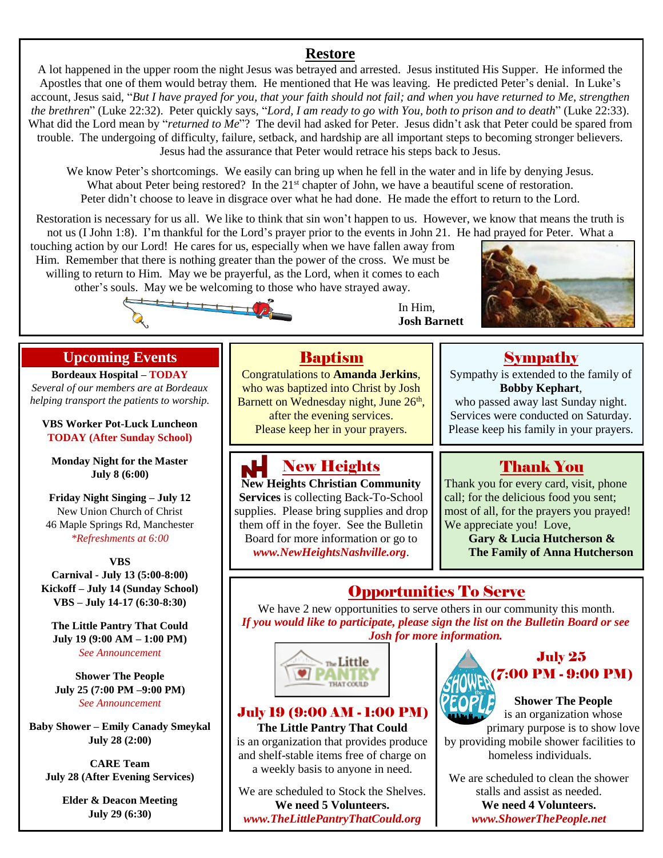### **Restore**

A lot happened in the upper room the night Jesus was betrayed and arrested. Jesus instituted His Supper. He informed the Apostles that one of them would betray them. He mentioned that He was leaving. He predicted Peter's denial. In Luke's account, Jesus said, "*But I have prayed for you, that your faith should not fail; and when you have returned to Me, strengthen the brethren*" (Luke 22:32). Peter quickly says, "*Lord, I am ready to go with You, both to prison and to death*" (Luke 22:33). What did the Lord mean by "*returned to Me*"? The devil had asked for Peter. Jesus didn't ask that Peter could be spared from trouble. The undergoing of difficulty, failure, setback, and hardship are all important steps to becoming stronger believers. Jesus had the assurance that Peter would retrace his steps back to Jesus.

We know Peter's shortcomings. We easily can bring up when he fell in the water and in life by denying Jesus. What about Peter being restored? In the 21<sup>st</sup> chapter of John, we have a beautiful scene of restoration. Peter didn't choose to leave in disgrace over what he had done. He made the effort to return to the Lord.

Restoration is necessary for us all. We like to think that sin won't happen to us. However, we know that means the truth is not us (I John 1:8). I'm thankful for the Lord's prayer prior to the events in John 21. He had prayed for Peter. What a

touching action by our Lord! He cares for us, especially when we have fallen away from Him. Remember that there is nothing greater than the power of the cross. We must be willing to return to Him. May we be prayerful, as the Lord, when it comes to each other's souls. May we be welcoming to those who have strayed away. 

In Him, **Josh Barnett**



#### **Upcoming Events**

**Bordeaux Hospital – TODAY** *Several of our members are at Bordeaux helping transport the patients to worship.*

**VBS Worker Pot-Luck Luncheon TODAY (After Sunday School)**

**Monday Night for the Master July 8 (6:00)**

**Friday Night Singing – July 12** New Union Church of Christ 46 Maple Springs Rd, Manchester *\*Refreshments at 6:00*

**VBS Carnival - July 13 (5:00-8:00) Kickoff – July 14 (Sunday School) VBS – July 14-17 (6:30-8:30)**

**The Little Pantry That Could July 19 (9:00 AM – 1:00 PM)** *See Announcement*

**Shower The People July 25 (7:00 PM –9:00 PM)** *See Announcement*

**Baby Shower – Emily Canady Smeykal July 28 (2:00)**

**CARE Team July 28 (After Evening Services)**

> **Elder & Deacon Meeting July 29 (6:30)**

### Baptism

Congratulations to **Amanda Jerkins**, who was baptized into Christ by Josh Barnett on Wednesday night, June 26<sup>th</sup>, after the evening services. Please keep her in your prayers.

### New Heights

**New Heights Christian Community Services** is collecting Back-To-School supplies. Please bring supplies and drop them off in the foyer. See the Bulletin Board for more information or go to *www.NewHeightsNashville.org*.

### Sympathy

Sympathy is extended to the family of **Bobby Kephart**,

who passed away last Sunday night. Services were conducted on Saturday. Please keep his family in your prayers.

### Thank You

Thank you for every card, visit, phone call; for the delicious food you sent; most of all, for the prayers you prayed! We appreciate you! Love,

> **Gary & Lucia Hutcherson & The Family of Anna Hutcherson**

### Opportunities To Serve

We have 2 new opportunities to serve others in our community this month. *If you would like to participate, please sign the list on the Bulletin Board or see Josh for more information.*



#### July 19 (9:00 AM - 1:00 PM)

**The Little Pantry That Could** is an organization that provides produce and shelf-stable items free of charge on a weekly basis to anyone in need.

We are scheduled to Stock the Shelves. **We need 5 Volunteers.** *www.TheLittlePantryThatCould.org*



#### **Shower The People** is an organization whose

primary purpose is to show love by providing mobile shower facilities to homeless individuals.

We are scheduled to clean the shower stalls and assist as needed. **We need 4 Volunteers.** *www.ShowerThePeople.net*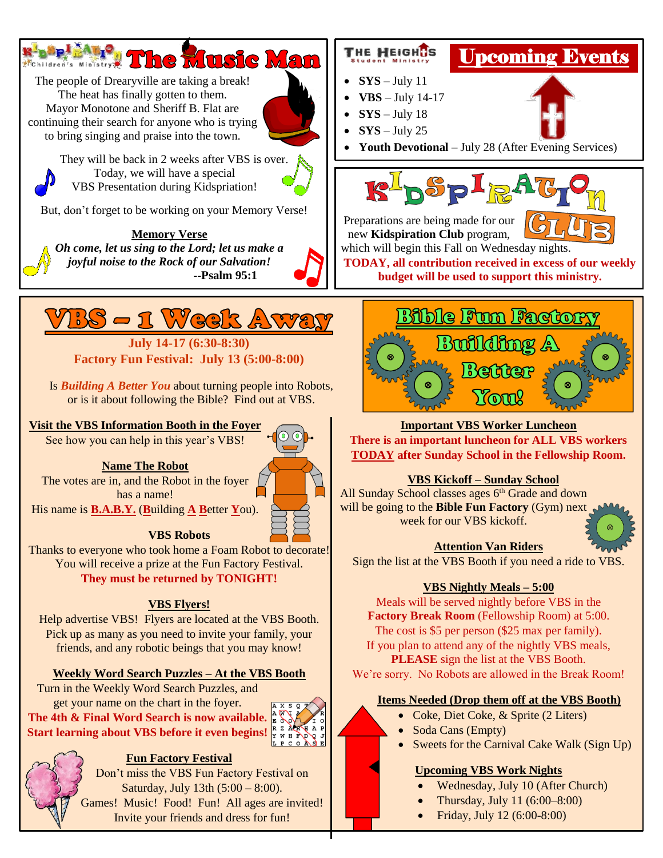#### **R**'aSel ALO. **Insie Man AChildren's Ministry ...**

The people of Drearyville are taking a break! The heat has finally gotten to them. Mayor Monotone and Sheriff B. Flat are continuing their search for anyone who is trying to bring singing and praise into the town.



They will be back in 2 weeks after VBS is over. Today, we will have a special VBS Presentation during Kidspriation!

But, don't forget to be working on your Memory Verse!

**Memory Verse** *Oh come, let us sing to the Lord; let us make a joyful noise to the Rock of our Salvation!* **--Psalm 95:1**



**July 14-17 (6:30-8:30) Factory Fun Festival: July 13 (5:00-8:00)**

Is *Building A Better You* about turning people into Robots, or is it about following the Bible? Find out at VBS.

#### **Visit the VBS Information Booth in the Foyer**

See how you can help in this year's VBS!

#### **Name The Robot**

The votes are in, and the Robot in the foyer has a name!

His name is **B.A.B.Y.** (**B**uilding **A B**etter **Y**ou).



#### **VBS Robots**

Thanks to everyone who took home a Foam Robot to decorate! You will receive a prize at the Fun Factory Festival. **They must be returned by TONIGHT!**

#### **VBS Flyers!**

Help advertise VBS! Flyers are located at the VBS Booth. Pick up as many as you need to invite your family, your friends, and any robotic beings that you may know!

#### **Weekly Word Search Puzzles – At the VBS Booth**

Turn in the Weekly Word Search Puzzles, and get your name on the chart in the foyer. **The 4th & Final Word Search is now available. Start learning about VBS before it even begins!**





#### **Fun Factory Festival**

Don't miss the VBS Fun Factory Festival on Saturday, July 13th (5:00 – 8:00). Games! Music! Food! Fun! All ages are invited! Invite your friends and dress for fun!

## Upcoming Events

•  $\text{SYS} - \text{July} 11$ 

THE HEIGHTS

- $VBS July 14-17$
- $\text{SYS} \text{July} 18$
- $\text{SYS} \text{July} 25$





Preparations are being made for our new **Kidspiration Club** program,



which will begin this Fall on Wednesday nights. **TODAY, all contribution received in excess of our weekly** 

**budget will be used to support this ministry.**



#### **Important VBS Worker Luncheon**

**There is an important luncheon for ALL VBS workers TODAY after Sunday School in the Fellowship Room.**

#### **VBS Kickoff – Sunday School**

All Sunday School classes ages  $6<sup>th</sup>$  Grade and down will be going to the **Bible Fun Factory** (Gym) next week for our VBS kickoff.



#### **Attention Van Riders**

Sign the list at the VBS Booth if you need a ride to VBS.

#### **VBS Nightly Meals – 5:00**

Meals will be served nightly before VBS in the **Factory Break Room** (Fellowship Room) at 5:00. The cost is \$5 per person (\$25 max per family). If you plan to attend any of the nightly VBS meals, **PLEASE** sign the list at the VBS Booth. We're sorry. No Robots are allowed in the Break Room!

#### **Items Needed (Drop them off at the VBS Booth)**

- Coke, Diet Coke, & Sprite (2 Liters)
- Soda Cans (Empty)
- Sweets for the Carnival Cake Walk (Sign Up)

#### **Upcoming VBS Work Nights**

- Wednesday, July 10 (After Church)
- Thursday, July 11 (6:00–8:00)
- Friday, July 12 (6:00-8:00)